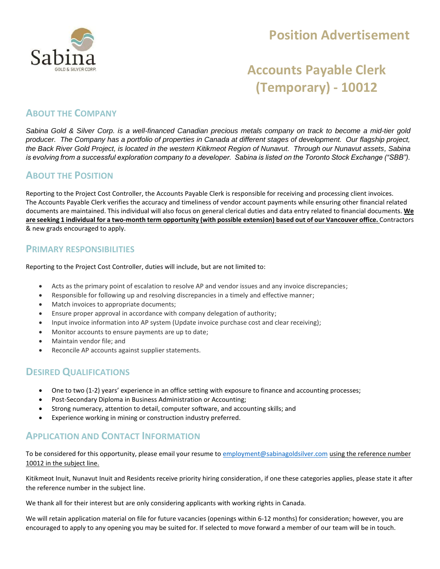

## **Position Advertisement**

# **Accounts Payable Clerk (Temporary) - 10012**

#### **ABOUT THE COMPANY**

*Sabina Gold & Silver Corp. is a well-financed Canadian precious metals company on track to become a mid-tier gold producer. The Company has a portfolio of properties in Canada at different stages of development. Our flagship project, the Back River Gold Project, is located in the western Kitikmeot Region of Nunavut. Through our Nunavut assets, Sabina is evolving from a successful exploration company to a developer. Sabina is listed on the Toronto Stock Exchange ("SBB").*

#### **ABOUT THE POSITION**

Reporting to the Project Cost Controller, the Accounts Payable Clerk is responsible for receiving and processing client invoices. The Accounts Payable Clerk verifies the accuracy and timeliness of vendor account payments while ensuring other financial related documents are maintained. This individual will also focus on general clerical duties and data entry related to financial documents. **We are seeking 1 individual for a two-month term opportunity (with possible extension) based out of our Vancouver office.** Contractors & new grads encouraged to apply.

#### **PRIMARY RESPONSIBILITIES**

Reporting to the Project Cost Controller, duties will include, but are not limited to:

- Acts as the primary point of escalation to resolve AP and vendor issues and any invoice discrepancies;
- Responsible for following up and resolving discrepancies in a timely and effective manner;
- Match invoices to appropriate documents;
- Ensure proper approval in accordance with company delegation of authority;
- Input invoice information into AP system (Update invoice purchase cost and clear receiving);
- Monitor accounts to ensure payments are up to date;
- Maintain vendor file; and
- Reconcile AP accounts against supplier statements.

#### **DESIRED QUALIFICATIONS**

- One to two (1-2) years' experience in an office setting with exposure to finance and accounting processes;
- Post-Secondary Diploma in Business Administration or Accounting;
- Strong numeracy, attention to detail, computer software, and accounting skills; and
- Experience working in mining or construction industry preferred.

### **APPLICATION AND CONTACT INFORMATION**

To be considered for this opportunity, please email your resume to [employment@sabinagoldsilver.com](mailto:employment@sabinagoldsilver.com) using the reference number 10012 in the subject line.

Kitikmeot Inuit, Nunavut Inuit and Residents receive priority hiring consideration, if one these categories applies, please state it after the reference number in the subject line.

We thank all for their interest but are only considering applicants with working rights in Canada.

We will retain application material on file for future vacancies (openings within 6-12 months) for consideration; however, you are encouraged to apply to any opening you may be suited for. If selected to move forward a member of our team will be in touch.